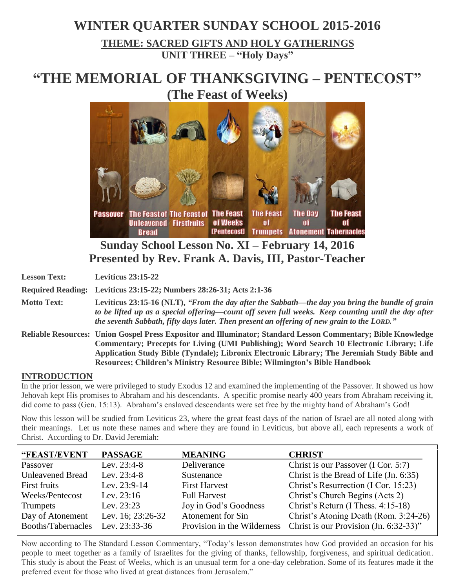## **WINTER QUARTER SUNDAY SCHOOL 2015-2016 THEME: SACRED GIFTS AND HOLY GATHERINGS UNIT THREE – "Holy Days"**

# **"THE MEMORIAL OF THANKSGIVING – PENTECOST" (The Feast of Weeks)**



## **Sunday School Lesson No. XI – February 14, 2016 Presented by Rev. Frank A. Davis, III, Pastor-Teacher**

**Lesson Text: Leviticus 23:15-22**

**Required Reading: Leviticus 23:15-22; Numbers 28:26-31; Acts 2:1-36**

**Motto Text: Leviticus 23:15-16 (NLT),** *"From the day after the Sabbath—the day you bring the bundle of grain to be lifted up as a special offering—count off seven full weeks. Keep counting until the day after the seventh Sabbath, fifty days later. Then present an offering of new grain to the LORD."*

**Reliable Resources: Union Gospel Press Expositor and Illuminator; Standard Lesson Commentary; Bible Knowledge Commentary; Precepts for Living (UMI Publishing); Word Search 10 Electronic Library; Life Application Study Bible (Tyndale); Libronix Electronic Library; The Jeremiah Study Bible and Resources; Children's Ministry Resource Bible; Wilmington's Bible Handbook**

#### **INTRODUCTION**

In the prior lesson, we were privileged to study Exodus 12 and examined the implementing of the Passover. It showed us how Jehovah kept His promises to Abraham and his descendants. A specific promise nearly 400 years from Abraham receiving it, did come to pass (Gen. 15:13). Abraham's enslaved descendants were set free by the mighty hand of Abraham's God!

Now this lesson will be studied from Leviticus 23, where the great feast days of the nation of Israel are all noted along with their meanings. Let us note these names and where they are found in Leviticus, but above all, each represents a work of Christ. According to Dr. David Jeremiah:

| "FEAST/EVENT            | <b>PASSAGE</b>    | <b>MEANING</b>              | <b>CHRIST</b>                          |
|-------------------------|-------------------|-----------------------------|----------------------------------------|
| Passover                | Lev. 23:4-8       | Deliverance                 | Christ is our Passover (I Cor. 5:7)    |
| <b>Unleavened Bread</b> | Lev. 23:4-8       | Sustenance                  | Christ is the Bread of Life (Jn. 6:35) |
| First fruits            | Lev. 23:9-14      | <b>First Harvest</b>        | Christ's Resurrection (I Cor. 15:23)   |
| Weeks/Pentecost         | Lev. $23:16$      | <b>Full Harvest</b>         | Christ's Church Begins (Acts 2)        |
| <b>Trumpets</b>         | Lev. $23:23$      | Joy in God's Goodness       | Christ's Return (I Thess. 4:15-18)     |
| Day of Atonement        | Lev. 16; 23:26-32 | Atonement for Sin           | Christ's Atoning Death (Rom. 3:24-26)  |
| Booths/Tabernacles      | Lev. 23:33-36     | Provision in the Wilderness | Christ is our Provision (Jn. 6:32-33)" |

Now according to The Standard Lesson Commentary, "Today's lesson demonstrates how God provided an occasion for his people to meet together as a family of Israelites for the giving of thanks, fellowship, forgiveness, and spiritual dedication. This study is about the Feast of Weeks, which is an unusual term for a one-day celebration. Some of its features made it the preferred event for those who lived at great distances from Jerusalem."